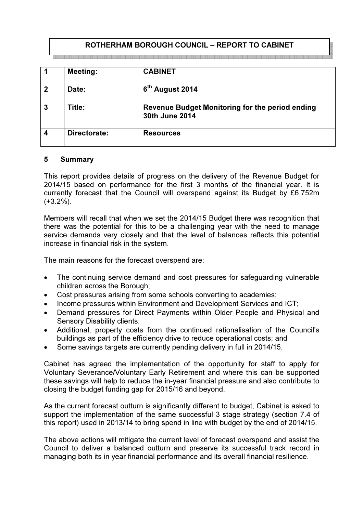# ROTHERHAM BOROUGH COUNCIL – REPORT TO CABINET

| -1                      | <b>Meeting:</b> | <b>CABINET</b>                                                    |
|-------------------------|-----------------|-------------------------------------------------------------------|
| $\overline{2}$          | Date:           | 6th August 2014                                                   |
| $\overline{3}$          | Title:          | Revenue Budget Monitoring for the period ending<br>30th June 2014 |
| $\overline{\mathbf{4}}$ | Directorate:    | <b>Resources</b>                                                  |

### 5 Summary

This report provides details of progress on the delivery of the Revenue Budget for 2014/15 based on performance for the first 3 months of the financial year. It is currently forecast that the Council will overspend against its Budget by £6.752m (+3.2%).

Members will recall that when we set the 2014/15 Budget there was recognition that there was the potential for this to be a challenging year with the need to manage service demands very closely and that the level of balances reflects this potential increase in financial risk in the system.

The main reasons for the forecast overspend are:

- The continuing service demand and cost pressures for safeguarding vulnerable children across the Borough;
- Cost pressures arising from some schools converting to academies;
- Income pressures within Environment and Development Services and ICT;
- Demand pressures for Direct Payments within Older People and Physical and Sensory Disability clients;
- Additional, property costs from the continued rationalisation of the Council's buildings as part of the efficiency drive to reduce operational costs; and
- Some savings targets are currently pending delivery in full in 2014/15.

Cabinet has agreed the implementation of the opportunity for staff to apply for Voluntary Severance/Voluntary Early Retirement and where this can be supported these savings will help to reduce the in-year financial pressure and also contribute to closing the budget funding gap for 2015/16 and beyond.

As the current forecast outturn is significantly different to budget, Cabinet is asked to support the implementation of the same successful 3 stage strategy (section 7.4 of this report) used in 2013/14 to bring spend in line with budget by the end of 2014/15.

The above actions will mitigate the current level of forecast overspend and assist the Council to deliver a balanced outturn and preserve its successful track record in managing both its in year financial performance and its overall financial resilience.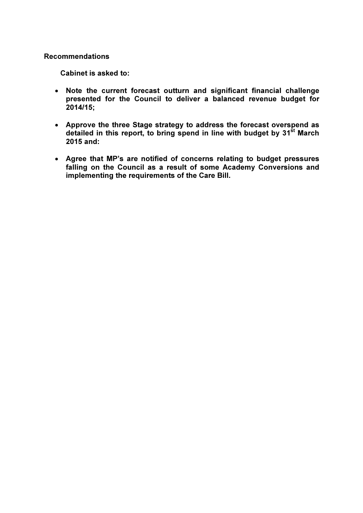### Recommendations

Cabinet is asked to:

- Note the current forecast outturn and significant financial challenge presented for the Council to deliver a balanced revenue budget for 2014/15;
- Approve the three Stage strategy to address the forecast overspend as detailed in this report, to bring spend in line with budget by  $31<sup>st</sup>$  March 2015 and:
- Agree that MP's are notified of concerns relating to budget pressures falling on the Council as a result of some Academy Conversions and implementing the requirements of the Care Bill.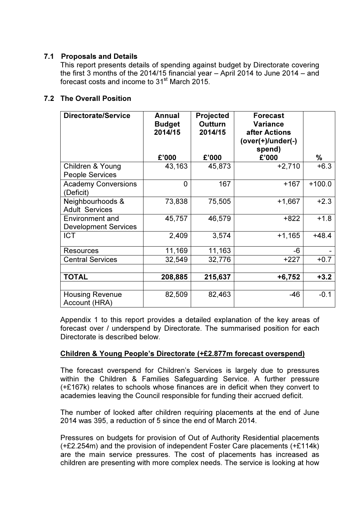# 7.1 Proposals and Details

This report presents details of spending against budget by Directorate covering the first 3 months of the 2014/15 financial year – April 2014 to June 2014 – and forecast costs and income to 31<sup>st</sup> March 2015.

# 7.2 The Overall Position

| <b>Directorate/Service</b>                            | Annual<br><b>Budget</b><br>2014/15<br>£'000 | <b>Projected</b><br><b>Outturn</b><br>2014/15<br>£'000 | <b>Forecast</b><br><b>Variance</b><br>after Actions<br>$(over(+)/under(-))$<br>spend)<br>£'000 | %        |
|-------------------------------------------------------|---------------------------------------------|--------------------------------------------------------|------------------------------------------------------------------------------------------------|----------|
| Children & Young                                      | 43,163                                      | 45,873                                                 | $+2,710$                                                                                       | $+6.3$   |
| <b>People Services</b>                                |                                             |                                                        |                                                                                                |          |
| <b>Academy Conversions</b><br>(Deficit)               | 0                                           | 167                                                    | $+167$                                                                                         | $+100.0$ |
| Neighbourhoods &                                      | 73,838                                      | 75,505                                                 | $+1,667$                                                                                       | $+2.3$   |
| <b>Adult Services</b>                                 |                                             |                                                        |                                                                                                |          |
| <b>Environment and</b><br><b>Development Services</b> | 45,757                                      | 46,579                                                 | $+822$                                                                                         | $+1.8$   |
| <b>ICT</b>                                            | 2,409                                       | 3,574                                                  | $+1,165$                                                                                       | $+48.4$  |
| <b>Resources</b>                                      | 11,169                                      | 11,163                                                 | -6                                                                                             |          |
| <b>Central Services</b>                               | 32,549                                      | 32,776                                                 | $+227$                                                                                         | $+0.7$   |
|                                                       |                                             |                                                        |                                                                                                |          |
| <b>TOTAL</b>                                          | 208,885                                     | 215,637                                                | $+6,752$                                                                                       | $+3.2$   |
|                                                       |                                             |                                                        |                                                                                                |          |
| <b>Housing Revenue</b><br>Account (HRA)               | 82,509                                      | 82,463                                                 | $-46$                                                                                          | $-0.1$   |

 Appendix 1 to this report provides a detailed explanation of the key areas of forecast over / underspend by Directorate. The summarised position for each Directorate is described below.

### Children & Young People's Directorate (+£2.877m forecast overspend)

The forecast overspend for Children's Services is largely due to pressures within the Children & Families Safeguarding Service. A further pressure (+£167k) relates to schools whose finances are in deficit when they convert to academies leaving the Council responsible for funding their accrued deficit.

The number of looked after children requiring placements at the end of June 2014 was 395, a reduction of 5 since the end of March 2014.

Pressures on budgets for provision of Out of Authority Residential placements (+£2.254m) and the provision of independent Foster Care placements (+£114k) are the main service pressures. The cost of placements has increased as children are presenting with more complex needs. The service is looking at how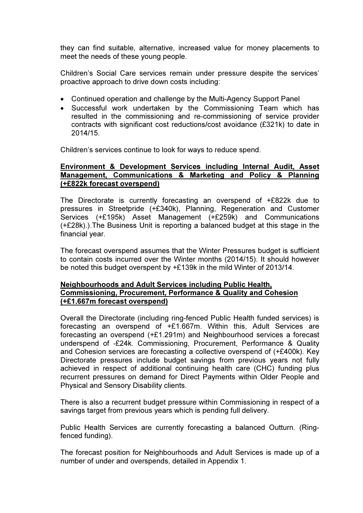they can find suitable, alternative, increased value for money placements to meet the needs of these young people.

Children's Social Care services remain under pressure despite the services' proactive approach to drive down costs including:

- Continued operation and challenge by the Multi-Agency Support Panel
- Successful work undertaken by the Commissioning Team which has resulted in the commissioning and re-commissioning of service provider contracts with significant cost reductions/cost avoidance (£321k) to date in 2014/15.

Children's services continue to look for ways to reduce spend.

### Environment & Development Services including Internal Audit, Asset Management, Communications & Marketing and Policy & Planning (+£822k forecast overspend)

 The Directorate is currently forecasting an overspend of +£822k due to pressures in Streetpride (+£340k), Planning, Regeneration and Customer Services (+£195k) Asset Management (+£259k) and Communications (+£28k).).The Business Unit is reporting a balanced budget at this stage in the financial year.

The forecast overspend assumes that the Winter Pressures budget is sufficient to contain costs incurred over the Winter months (2014/15). It should however be noted this budget overspent by +£139k in the mild Winter of 2013/14.

### Neighbourhoods and Adult Services including Public Health, Commissioning, Procurement, Performance & Quality and Cohesion (+£1.667m forecast overspend)

Overall the Directorate (including ring-fenced Public Health funded services) is forecasting an overspend of +£1.667m. Within this, Adult Services are forecasting an overspend (+£1.291m) and Neighbourhood services a forecast underspend of -£24k. Commissioning, Procurement, Performance & Quality and Cohesion services are forecasting a collective overspend of (+£400k). Key Directorate pressures include budget savings from previous years not fully achieved in respect of additional continuing health care (CHC) funding plus recurrent pressures on demand for Direct Payments within Older People and Physical and Sensory Disability clients.

There is also a recurrent budget pressure within Commissioning in respect of a savings target from previous years which is pending full delivery.

Public Health Services are currently forecasting a balanced Outturn. (Ringfenced funding).

The forecast position for Neighbourhoods and Adult Services is made up of a number of under and overspends, detailed in Appendix 1.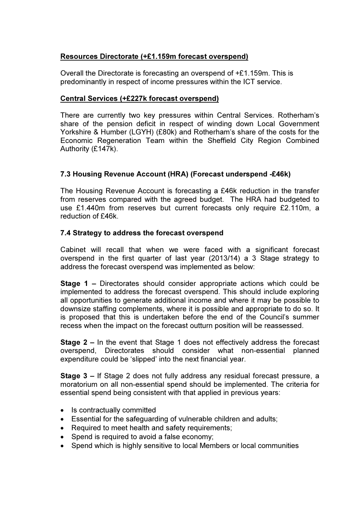# Resources Directorate (+£1.159m forecast overspend)

Overall the Directorate is forecasting an overspend of +£1.159m. This is predominantly in respect of income pressures within the ICT service.

### Central Services (+£227k forecast overspend)

There are currently two key pressures within Central Services. Rotherham's share of the pension deficit in respect of winding down Local Government Yorkshire & Humber (LGYH) (£80k) and Rotherham's share of the costs for the Economic Regeneration Team within the Sheffield City Region Combined Authority (£147k).

# 7.3 Housing Revenue Account (HRA) (Forecast underspend -£46k)

The Housing Revenue Account is forecasting a £46k reduction in the transfer from reserves compared with the agreed budget. The HRA had budgeted to use £1.440m from reserves but current forecasts only require £2.110m, a reduction of £46k.

### 7.4 Strategy to address the forecast overspend

Cabinet will recall that when we were faced with a significant forecast overspend in the first quarter of last year (2013/14) a 3 Stage strategy to address the forecast overspend was implemented as below:

Stage 1 – Directorates should consider appropriate actions which could be implemented to address the forecast overspend. This should include exploring all opportunities to generate additional income and where it may be possible to downsize staffing complements, where it is possible and appropriate to do so. It is proposed that this is undertaken before the end of the Council's summer recess when the impact on the forecast outturn position will be reassessed.

Stage 2 – In the event that Stage 1 does not effectively address the forecast overspend, Directorates should consider what non-essential planned expenditure could be 'slipped' into the next financial year.

Stage 3 – If Stage 2 does not fully address any residual forecast pressure, a moratorium on all non-essential spend should be implemented. The criteria for essential spend being consistent with that applied in previous years:

- Is contractually committed
- Essential for the safeguarding of vulnerable children and adults;
- Required to meet health and safety requirements;
- Spend is required to avoid a false economy;
- Spend which is highly sensitive to local Members or local communities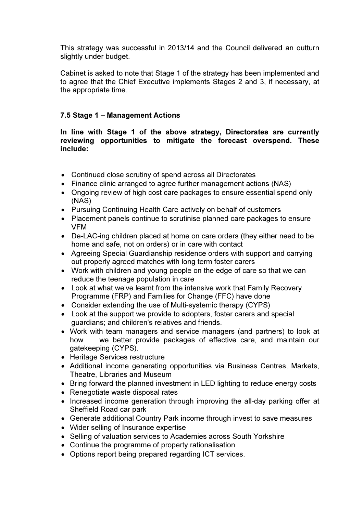This strategy was successful in 2013/14 and the Council delivered an outturn slightly under budget.

Cabinet is asked to note that Stage 1 of the strategy has been implemented and to agree that the Chief Executive implements Stages 2 and 3, if necessary, at the appropriate time.

# 7.5 Stage 1 – Management Actions

In line with Stage 1 of the above strategy, Directorates are currently reviewing opportunities to mitigate the forecast overspend. These include:

- Continued close scrutiny of spend across all Directorates
- Finance clinic arranged to agree further management actions (NAS)
- Ongoing review of high cost care packages to ensure essential spend only (NAS)
- Pursuing Continuing Health Care actively on behalf of customers
- Placement panels continue to scrutinise planned care packages to ensure VFM
- De-LAC-ing children placed at home on care orders (they either need to be home and safe, not on orders) or in care with contact
- Agreeing Special Guardianship residence orders with support and carrying out properly agreed matches with long term foster carers
- Work with children and young people on the edge of care so that we can reduce the teenage population in care
- Look at what we've learnt from the intensive work that Family Recovery Programme (FRP) and Families for Change (FFC) have done
- Consider extending the use of Multi-systemic therapy (CYPS)
- Look at the support we provide to adopters, foster carers and special guardians; and children's relatives and friends.
- Work with team managers and service managers (and partners) to look at how we better provide packages of effective care, and maintain our gatekeeping (CYPS).
- Heritage Services restructure
- Additional income generating opportunities via Business Centres, Markets, Theatre, Libraries and Museum
- Bring forward the planned investment in LED lighting to reduce energy costs
- Renegotiate waste disposal rates
- Increased income generation through improving the all-day parking offer at Sheffield Road car park
- Generate additional Country Park income through invest to save measures
- Wider selling of Insurance expertise
- Selling of valuation services to Academies across South Yorkshire
- Continue the programme of property rationalisation
- Options report being prepared regarding ICT services.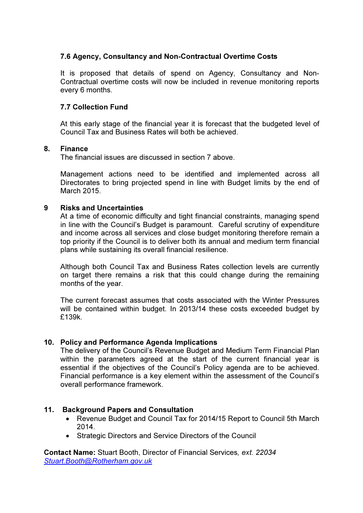# 7.6 Agency, Consultancy and Non-Contractual Overtime Costs

It is proposed that details of spend on Agency, Consultancy and Non-Contractual overtime costs will now be included in revenue monitoring reports every 6 months.

## 7.7 Collection Fund

At this early stage of the financial year it is forecast that the budgeted level of Council Tax and Business Rates will both be achieved.

### 8. Finance

The financial issues are discussed in section 7 above.

Management actions need to be identified and implemented across all Directorates to bring projected spend in line with Budget limits by the end of March 2015.

### 9 Risks and Uncertainties

At a time of economic difficulty and tight financial constraints, managing spend in line with the Council's Budget is paramount. Careful scrutiny of expenditure and income across all services and close budget monitoring therefore remain a top priority if the Council is to deliver both its annual and medium term financial plans while sustaining its overall financial resilience.

Although both Council Tax and Business Rates collection levels are currently on target there remains a risk that this could change during the remaining months of the year.

The current forecast assumes that costs associated with the Winter Pressures will be contained within budget. In 2013/14 these costs exceeded budget by £139k.

#### 10. Policy and Performance Agenda Implications

The delivery of the Council's Revenue Budget and Medium Term Financial Plan within the parameters agreed at the start of the current financial year is essential if the objectives of the Council's Policy agenda are to be achieved. Financial performance is a key element within the assessment of the Council's overall performance framework.

### 11. Background Papers and Consultation

- Revenue Budget and Council Tax for 2014/15 Report to Council 5th March 2014.
- Strategic Directors and Service Directors of the Council

Contact Name: Stuart Booth, Director of Financial Services, ext. 22034 Stuart.Booth@Rotherham.gov.uk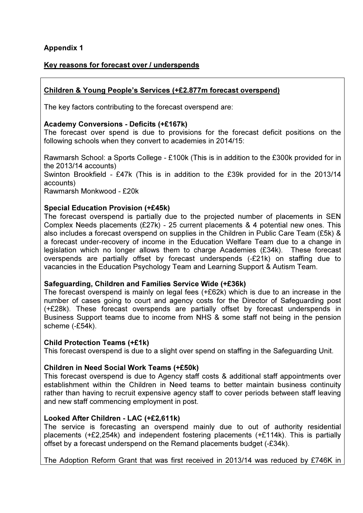# Appendix 1

# Key reasons for forecast over / underspends

# Children & Young People's Services (+£2.877m forecast overspend)

The key factors contributing to the forecast overspend are:

## Academy Conversions - Deficits (+£167k)

The forecast over spend is due to provisions for the forecast deficit positions on the following schools when they convert to academies in 2014/15:

Rawmarsh School: a Sports College - £100k (This is in addition to the £300k provided for in the 2013/14 accounts)

Swinton Brookfield - £47k (This is in addition to the £39k provided for in the 2013/14 accounts)

Rawmarsh Monkwood - £20k

# Special Education Provision (+£45k)

The forecast overspend is partially due to the projected number of placements in SEN Complex Needs placements (£27k) - 25 current placements & 4 potential new ones. This also includes a forecast overspend on supplies in the Children in Public Care Team (£5k) & a forecast under-recovery of income in the Education Welfare Team due to a change in legislation which no longer allows them to charge Academies (£34k). These forecast overspends are partially offset by forecast underspends (-£21k) on staffing due to vacancies in the Education Psychology Team and Learning Support & Autism Team.

### Safeguarding, Children and Families Service Wide (+£36k)

The forecast overspend is mainly on legal fees (+£62k) which is due to an increase in the number of cases going to court and agency costs for the Director of Safeguarding post (+£28k). These forecast overspends are partially offset by forecast underspends in Business Support teams due to income from NHS & some staff not being in the pension scheme (-£54k).

### Child Protection Teams (+£1k)

This forecast overspend is due to a slight over spend on staffing in the Safeguarding Unit.

# Children in Need Social Work Teams (+£50k)

This forecast overspend is due to Agency staff costs & additional staff appointments over establishment within the Children in Need teams to better maintain business continuity rather than having to recruit expensive agency staff to cover periods between staff leaving and new staff commencing employment in post.

### Looked After Children - LAC (+£2,611k)

The service is forecasting an overspend mainly due to out of authority residential placements (+£2,254k) and independent fostering placements (+£114k). This is partially offset by a forecast underspend on the Remand placements budget (-£34k).

The Adoption Reform Grant that was first received in 2013/14 was reduced by £746K in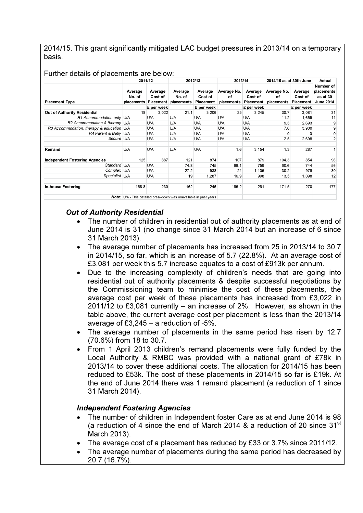2014/15. This grant significantly mitigated LAC budget pressures in 2013/14 on a temporary basis.

#### Further details of placements are below:

|                                           | 2011/12                                                                  |                                        | 2012/13                         |                                 | 2013/14                                   |                    | 2014/15 as at 30th June         |                                 | Actual                                                  |
|-------------------------------------------|--------------------------------------------------------------------------|----------------------------------------|---------------------------------|---------------------------------|-------------------------------------------|--------------------|---------------------------------|---------------------------------|---------------------------------------------------------|
| <b>Placement Type</b>                     | Average<br>No. of<br>placements                                          | Average<br>Cost of<br><b>Placement</b> | Average<br>No. of<br>placements | Average<br>Cost of<br>Placement | Average No.<br>οf<br>placements Placement | Average<br>Cost of | Average No.<br>οf<br>placements | Average<br>Cost of<br>Placement | Number of<br>placements<br>as at 30<br><b>June 2014</b> |
|                                           |                                                                          | £ per week                             |                                 | £ per week                      |                                           | £ per week         |                                 | £ per week                      |                                                         |
| Out of Authority Residential              | 18                                                                       | 3,022                                  | 21.1                            | 3,206                           | 25                                        | 3,245              | 30.7                            | 3,081                           | 31                                                      |
| R1 Accommodation only U/A                 |                                                                          | U/A                                    | U/A                             | U/A                             | U/A                                       | U/A                | 11.2                            | 1,659                           | 11                                                      |
| R2 Accommodation & therapy U/A            |                                                                          | U/A                                    | U/A                             | U/A                             | U/A                                       | U/A                | 9.3                             | 2.693                           | 9                                                       |
| R3 Accommodation, therapy & education U/A |                                                                          | U/A                                    | U/A                             | U/A                             | U/A                                       | U/A                | 7.6                             | 3,900                           | 9                                                       |
| R4 Parent & Baby U/A                      |                                                                          | U/A                                    | U/A                             | U/A                             | U/A                                       | U/A                | 0                               | O                               | $\pmb{0}$                                               |
| Secure U/A                                |                                                                          | U/A                                    | U/A                             | U/A                             | U/A                                       | U/A                | 2.5                             | 2,698                           | $\overline{2}$                                          |
| Remand                                    | U/A                                                                      | U/A                                    | U/A                             | U/A                             | 1.6                                       | 3,154              | 1.3                             | 287                             |                                                         |
| <b>Independent Fostering Agencies</b>     | 125                                                                      | 887                                    | 121                             | 874                             | 107                                       | 879                | 104.3                           | 854                             | 98                                                      |
| Standard U/A                              |                                                                          | U/A                                    | 74.8                            | 745                             | 66.1                                      | 759                | 60.6                            | 744                             | 56                                                      |
| Complex U/A                               |                                                                          | U/A                                    | 27.2                            | 938                             | 24                                        | 1,105              | 30.2                            | 976                             | 30                                                      |
| Specialist U/A                            |                                                                          | U/A                                    | 19                              | 1,287                           | 16.9                                      | 998                | 13.5                            | 1,098                           | 12                                                      |
| <b>In-house Fostering</b>                 | 158.8                                                                    | 230                                    | 162                             | 246                             | 165.2                                     | 261                | 171.5                           | 270                             | 177                                                     |
|                                           | <b>Note:</b> U/A - This detailed breakdown was unavailable in past years |                                        |                                 |                                 |                                           |                    |                                 |                                 |                                                         |

### Out of Authority Residential

- The number of children in residential out of authority placements as at end of June 2014 is 31 (no change since 31 March 2014 but an increase of 6 since 31 March 2013).
- The average number of placements has increased from 25 in 2013/14 to 30.7 in 2014/15, so far, which is an increase of 5.7 (22.8%). At an average cost of £3,081 per week this 5.7 increase equates to a cost of £913k per annum.
- Due to the increasing complexity of children's needs that are going into residential out of authority placements & despite successful negotiations by the Commissioning team to minimise the cost of these placements, the average cost per week of these placements has increased from £3,022 in 2011/12 to £3,081 currently – an increase of 2%. However, as shown in the table above, the current average cost per placement is less than the 2013/14 average of £3,245 – a reduction of -5%.
- The average number of placements in the same period has risen by 12.7 (70.6%) from 18 to 30.7.
- From 1 April 2013 children's remand placements were fully funded by the Local Authority & RMBC was provided with a national grant of £78k in 2013/14 to cover these additional costs. The allocation for 2014/15 has been reduced to £53k. The cost of these placements in 2014/15 so far is £19k. At the end of June 2014 there was 1 remand placement (a reduction of 1 since 31 March 2014).

### Independent Fostering Agencies

- The number of children in Independent foster Care as at end June 2014 is 98 (a reduction of 4 since the end of March 2014  $\&$  a reduction of 20 since 31<sup>st</sup> March 2013).
- The average cost of a placement has reduced by £33 or 3.7% since 2011/12.
- The average number of placements during the same period has decreased by 20.7 (16.7%).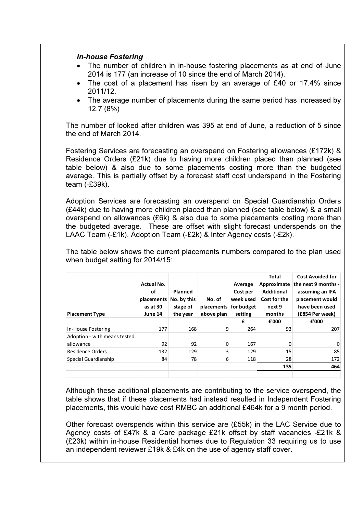### In-house Fostering

- The number of children in in-house fostering placements as at end of June 2014 is 177 (an increase of 10 since the end of March 2014).
- The cost of a placement has risen by an average of £40 or 17.4% since 2011/12.
- The average number of placements during the same period has increased by 12.7 (8%)

The number of looked after children was 395 at end of June, a reduction of 5 since the end of March 2014.

Fostering Services are forecasting an overspend on Fostering allowances (£172k) & Residence Orders (£21k) due to having more children placed than planned (see table below) & also due to some placements costing more than the budgeted average. This is partially offset by a forecast staff cost underspend in the Fostering team (-£39k).

Adoption Services are forecasting an overspend on Special Guardianship Orders (£44k) due to having more children placed than planned (see table below) & a small overspend on allowances (£6k) & also due to some placements costing more than the budgeted average. These are offset with slight forecast underspends on the LAAC Team (-£1k), Adoption Team (-£2k) & Inter Agency costs (-£2k).

The table below shows the current placements numbers compared to the plan used when budget setting for 2014/15:

| <b>Placement Type</b>                     | <b>Actual No.</b><br>οf<br>placements<br>as at 30<br>June 14 | Planned<br>No. by this<br>stage of<br>the year | No. of<br>placements<br>above plan | Average<br>Cost per<br>week used<br>for budget<br>setting<br>£ | Total<br>Approximate<br><b>Additional</b><br>Cost for the<br>next 9<br>months<br>£'000 | <b>Cost Avoided for</b><br>the next 9 months -<br>assuming an IFA<br>placement would<br>have been used<br>(£854 Per week)<br>£'000 |
|-------------------------------------------|--------------------------------------------------------------|------------------------------------------------|------------------------------------|----------------------------------------------------------------|----------------------------------------------------------------------------------------|------------------------------------------------------------------------------------------------------------------------------------|
| In-House Fostering                        | 177                                                          | 168                                            | 9                                  | 264                                                            | 93                                                                                     | 207                                                                                                                                |
| Adoption - with means tested<br>allowance | 92                                                           | 92                                             | $\Omega$                           | 167                                                            | 0                                                                                      | 0                                                                                                                                  |
| Residence Orders                          | 132                                                          | 129                                            | 3                                  | 129                                                            | 15                                                                                     | 85                                                                                                                                 |
| Special Guardianship                      | 84                                                           | 78                                             | 6                                  | 118                                                            | 28                                                                                     | 172                                                                                                                                |
|                                           |                                                              |                                                |                                    |                                                                | 135                                                                                    | 464                                                                                                                                |
|                                           |                                                              |                                                |                                    |                                                                |                                                                                        |                                                                                                                                    |

Although these additional placements are contributing to the service overspend, the table shows that if these placements had instead resulted in Independent Fostering placements, this would have cost RMBC an additional £464k for a 9 month period.

Other forecast overspends within this service are (£55k) in the LAC Service due to Agency costs of £47k & a Care package £21k offset by staff vacancies -£21k & (£23k) within in-house Residential homes due to Regulation 33 requiring us to use an independent reviewer £19k & £4k on the use of agency staff cover.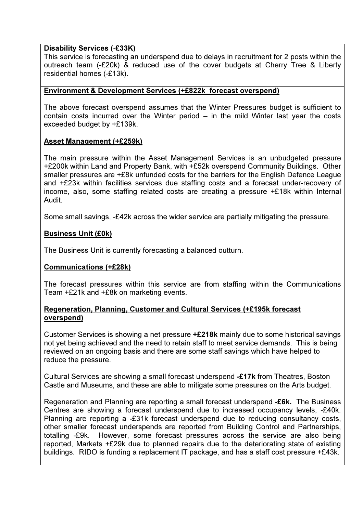### Disability Services (-£33K)

This service is forecasting an underspend due to delays in recruitment for 2 posts within the outreach team (-£20k) & reduced use of the cover budgets at Cherry Tree & Liberty residential homes (-£13k).

### Environment & Development Services (+£822k forecast overspend)

The above forecast overspend assumes that the Winter Pressures budget is sufficient to contain costs incurred over the Winter period – in the mild Winter last year the costs exceeded budget by +£139k.

### Asset Management (+£259k)

The main pressure within the Asset Management Services is an unbudgeted pressure +£200k within Land and Property Bank, with +£52k overspend Community Buildings. Other smaller pressures are +£8k unfunded costs for the barriers for the English Defence League and +£23k within facilities services due staffing costs and a forecast under-recovery of income, also, some staffing related costs are creating a pressure +£18k within Internal Audit.

Some small savings, -£42k across the wider service are partially mitigating the pressure.

### Business Unit (£0k)

The Business Unit is currently forecasting a balanced outturn.

### Communications (+£28k)

The forecast pressures within this service are from staffing within the Communications Team +£21k and +£8k on marketing events.

### Regeneration, Planning, Customer and Cultural Services (+£195k forecast overspend)

Customer Services is showing a net pressure +£218k mainly due to some historical savings not yet being achieved and the need to retain staff to meet service demands. This is being reviewed on an ongoing basis and there are some staff savings which have helped to reduce the pressure.

Cultural Services are showing a small forecast underspend -£17k from Theatres, Boston Castle and Museums, and these are able to mitigate some pressures on the Arts budget.

Regeneration and Planning are reporting a small forecast underspend -£6k. The Business Centres are showing a forecast underspend due to increased occupancy levels, -£40k. Planning are reporting a -£31k forecast underspend due to reducing consultancy costs, other smaller forecast underspends are reported from Building Control and Partnerships, totalling -£9k. However, some forecast pressures across the service are also being reported, Markets +£29k due to planned repairs due to the deteriorating state of existing buildings. RIDO is funding a replacement IT package, and has a staff cost pressure +£43k.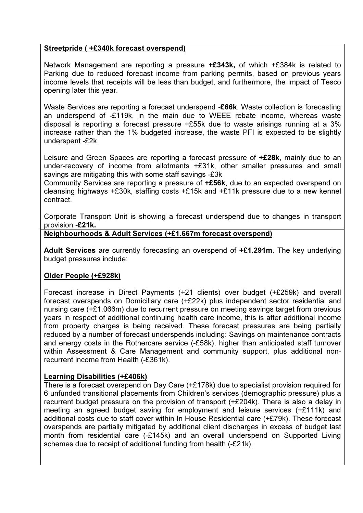## Streetpride ( +£340k forecast overspend)

Network Management are reporting a pressure +£343k, of which +£384k is related to Parking due to reduced forecast income from parking permits, based on previous years income levels that receipts will be less than budget, and furthermore, the impact of Tesco opening later this year.

Waste Services are reporting a forecast underspend -£66k. Waste collection is forecasting an underspend of -£119k, in the main due to WEEE rebate income, whereas waste disposal is reporting a forecast pressure +£55k due to waste arisings running at a 3% increase rather than the 1% budgeted increase, the waste PFI is expected to be slightly underspent -£2k.

Leisure and Green Spaces are reporting a forecast pressure of **+£28k**, mainly due to an under-recovery of income from allotments +£31k, other smaller pressures and small savings are mitigating this with some staff savings -£3k

Community Services are reporting a pressure of +£56k, due to an expected overspend on cleansing highways +£30k, staffing costs +£15k and +£11k pressure due to a new kennel contract.

Corporate Transport Unit is showing a forecast underspend due to changes in transport provision -£21k.

### Neighbourhoods & Adult Services (+£1.667m forecast overspend)

Adult Services are currently forecasting an overspend of +£1.291m. The key underlying budget pressures include:

# Older People (+£928k)

Forecast increase in Direct Payments (+21 clients) over budget (+£259k) and overall forecast overspends on Domiciliary care (+£22k) plus independent sector residential and nursing care (+£1.066m) due to recurrent pressure on meeting savings target from previous years in respect of additional continuing health care income, this is after additional income from property charges is being received. These forecast pressures are being partially reduced by a number of forecast underspends including: Savings on maintenance contracts and energy costs in the Rothercare service (-£58k), higher than anticipated staff turnover within Assessment & Care Management and community support, plus additional nonrecurrent income from Health (-£361k).

### Learning Disabilities (+£406k)

There is a forecast overspend on Day Care (+£178k) due to specialist provision required for 6 unfunded transitional placements from Children's services (demographic pressure) plus a recurrent budget pressure on the provision of transport (+£204k). There is also a delay in meeting an agreed budget saving for employment and leisure services (+£111k) and additional costs due to staff cover within In House Residential care (+£79k). These forecast overspends are partially mitigated by additional client discharges in excess of budget last month from residential care (-£145k) and an overall underspend on Supported Living schemes due to receipt of additional funding from health (-£21k).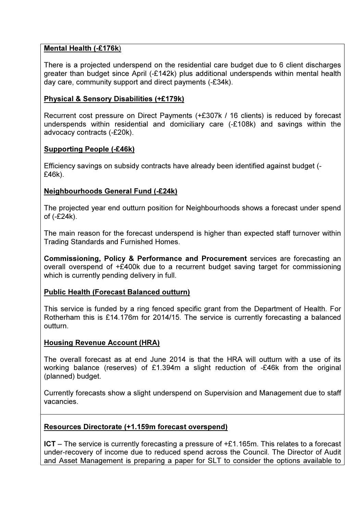# Mental Health (-£176k)

There is a projected underspend on the residential care budget due to 6 client discharges greater than budget since April (-£142k) plus additional underspends within mental health day care, community support and direct payments (-£34k).

# Physical & Sensory Disabilities (+£179k)

Recurrent cost pressure on Direct Payments (+£307k / 16 clients) is reduced by forecast underspends within residential and domiciliary care (-£108k) and savings within the advocacy contracts (-£20k).

# Supporting People (-£46k)

Efficiency savings on subsidy contracts have already been identified against budget (- £46k).

# Neighbourhoods General Fund (-£24k)

The projected year end outturn position for Neighbourhoods shows a forecast under spend of (-£24k).

The main reason for the forecast underspend is higher than expected staff turnover within Trading Standards and Furnished Homes.

Commissioning, Policy & Performance and Procurement services are forecasting an overall overspend of +£400k due to a recurrent budget saving target for commissioning which is currently pending delivery in full.

### Public Health (Forecast Balanced outturn)

This service is funded by a ring fenced specific grant from the Department of Health. For Rotherham this is £14.176m for 2014/15. The service is currently forecasting a balanced outturn.

### Housing Revenue Account (HRA)

The overall forecast as at end June 2014 is that the HRA will outturn with a use of its working balance (reserves) of £1.394m a slight reduction of -£46k from the original (planned) budget.

Currently forecasts show a slight underspend on Supervision and Management due to staff vacancies.

### Resources Directorate (+1.159m forecast overspend)

ICT – The service is currently forecasting a pressure of +£1.165m. This relates to a forecast under-recovery of income due to reduced spend across the Council. The Director of Audit and Asset Management is preparing a paper for SLT to consider the options available to